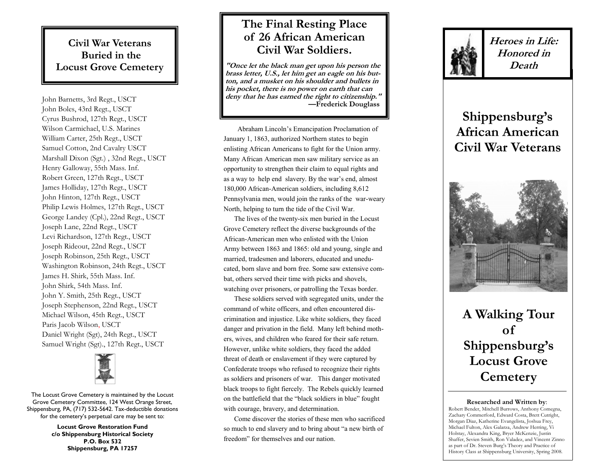### **Civil War Veterans Buried in the Locust Grove Cemetery**

John Barnetts, 3rd Regt., USCT John Boles, 43rd Regt., USCT Cyrus Bushrod, 127th Regt., USCT Wilson Carmichael, U.S. Marines William Carter, 25th Regt., USCT Samuel Cotton, 2nd Cavalry USCT Marshall Dixon (Sgt.) , 32nd Regt., USCT Henry Galloway, 55th Mass. Inf. Robert Green, 127th Regt., USCT James Holliday, 127th Regt., USCT John Hinton, 127th Regt., USCT Philip Lewis Holmes, 127th Regt., USCT George Landey (Cpl.), 22nd Regt., USCT Joseph Lane, 22nd Regt., USCT Levi Richardson, 127th Regt., USCT Joseph Rideout, 22nd Regt., USCT Joseph Robinson, 25th Regt., USCT Washington Robinson, 24th Regt., USCT James H. Shirk, 55th Mass. Inf. John Shirk, 54th Mass. Inf. John Y. Smith, 25th Regt., USCT Joseph Stephenson, 22nd Regt., USCT Michael Wilson, 45th Regt., USCT Paris Jacob Wilson, USCT Daniel Wright (Sgt), 24th Regt., USCT Samuel Wright (Sgt)., 127th Regt., USCT



The Locust Grove Cemetery is maintained by the Locust Grove Cemetery Committee, 124 West Orange Street, Shippensburg, PA, (717) 532 -5642. Tax -deductible donations for the cemetery's perpetual care may be sent to:

> **Locust Grove Restoration Fund c/o Shippensburg Historical Society P.O. Box 532 Shippensburg, PA 17257**

## **The Final Resting Place of 26 African American Civil War Soldiers.**

**"Once let the black man get upon his person the brass letter, U.S., let him get an eagle on his button, and a musket on his shoulder and bullets in his pocket, there is no power on earth that can deny that he has earned the right to citizenship." —Frederick Douglass**

Abraham Lincoln's Emancipation Proclamation of January 1, 1863, authorized Northern states to begin enlisting African Americans to fight for the Union army. Many African American men saw military service as an opportunity to strengthen their claim to equal rights and as a way to help end slavery. By the war's end, almost 180,000 African -American soldiers, including 8,612 Pennsylvania men, would join the ranks of the war -weary North, helping to turn the tide of the Civil War.

 The lives of the twenty -six men buried in the Locust Grove Cemetery reflect the diverse backgrounds of the African -American men who enlisted with the Union Army between 1863 and 1865: old and young, single and married, tradesmen and laborers, educated and uneducated, born slave and born free. Some saw extensive combat, others served their time with picks and shovels, watching over prisoners, or patrolling the Texas border.

 These soldiers served with segregated units, under the command of white officers, and often encountered discrimination and injustice. Like white soldiers, they faced danger and privation in the field. Many left behind mothers, wives, and children who feared for their safe return. However, unlike white soldiers, they faced the added threat of death or enslavement if they were captured by Confederate troops who refused to recognize their rights as soldiers and prisoners of war. This danger motivated black troops to fight fiercely. The Rebels quickly learned on the battlefield that the "black soldiers in blue" fought with courage, bravery, and determination.

 Come discover the stories of these men who sacrificed so much to end slavery and to bring about "a new birth of freedom" for themselves and our nation.



**Heroes in Life: Honored in Death**

# **Shippensburg's African American Civil War Veterans**



**A Walking Tour of Shippensburg's Locust Grove Cemetery** 

#### **Researched and Written by**:

Robert Bender, Mitchell Burrows, Anthony Comegna, Zachary Commerford, Edward Costa, Brett Cutright, Morgan Diaz, Katherine Evangelista, Joshua Frey, Michael Fulton, Alex Galarza, Andrew Herring, Vi Holstay, Alexandra King, Bryer McKenzie, Justin Shaffer, Sevien Smith, Ron Valadez, and Vincent Zinno as part of Dr. Steven Burg's Theory and Practice of History Class at Shippensburg University, Spring 2008.